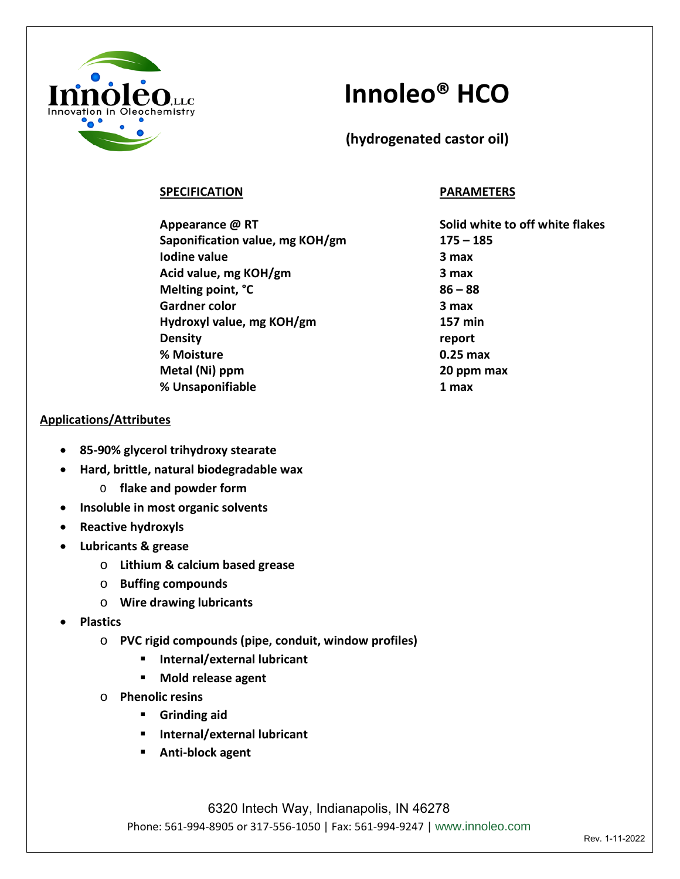

## **Innoleo® HCO**

**(hydrogenated castor oil)**

## **SPECIFICATION PARAMETERS**

**Appearance @ RT Solid white to off white flakes Saponification value, mg KOH/gm 175 – 185 Iodine value** 3 max **Acid value, mg KOH/gm 3 max Melting point, °C 86 – 88 Gardner color 3 max Hydroxyl value, mg KOH/gm 157 min Density report % Moisture 0.25 max Metal (Ni) ppm 20 ppm max % Unsaponifiable 1 max**

### **Applications/Attributes**

- **85-90% glycerol trihydroxy stearate**
- **Hard, brittle, natural biodegradable wax**
	- O **flake and powder form**
- **Insoluble in most organic solvents**
- **Reactive hydroxyls**
- **Lubricants & grease**
	- o **Lithium & calcium based grease**
	- o **Buffing compounds**
	- o **Wire drawing lubricants**
- **Plastics**
	- o **PVC rigid compounds (pipe, conduit, window profiles)**
		- **Internal/external lubricant**
		- **Mold release agent**
	- o **Phenolic resins**
		- **Grinding aid**
		- **Internal/external lubricant**
		- **Anti-block agent**

6320 Intech Way, Indianapolis, IN 46278 Phone: 561-994-8905 or 317-556-1050 | Fax: 561-994-9247 | www.innoleo.com